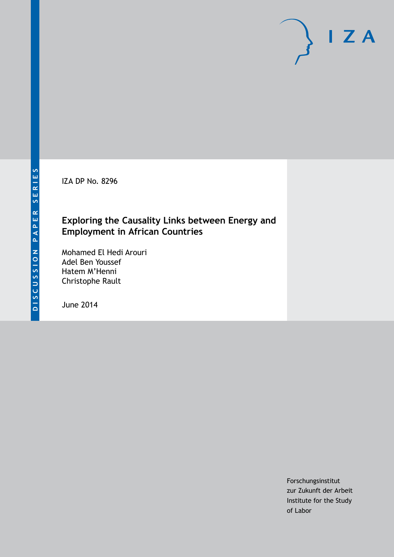IZA DP No. 8296

### **Exploring the Causality Links between Energy and Employment in African Countries**

Mohamed El Hedi Arouri Adel Ben Youssef Hatem M'Henni Christophe Rault

June 2014

Forschungsinstitut zur Zukunft der Arbeit Institute for the Study of Labor

 $I Z A$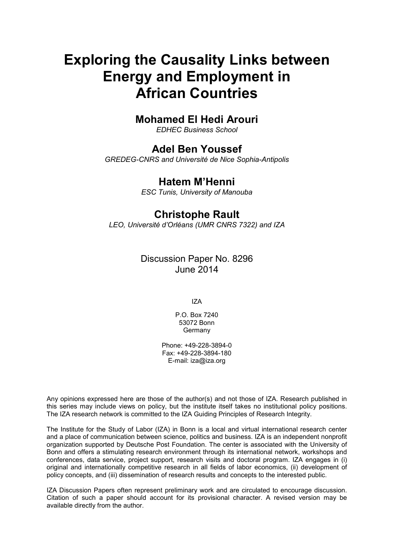# **Exploring the Causality Links between Energy and Employment in African Countries**

# **Mohamed El Hedi Arouri**

*EDHEC Business School*

### **Adel Ben Youssef**

*GREDEG-CNRS and Université de Nice Sophia-Antipolis*

# **Hatem M'Henni**

*ESC Tunis, University of Manouba*

### **Christophe Rault**

*LEO, Université d'Orléans (UMR CNRS 7322) and IZA*

Discussion Paper No. 8296 June 2014

IZA

P.O. Box 7240 53072 Bonn Germany

Phone: +49-228-3894-0 Fax: +49-228-3894-180 E-mail: [iza@iza.org](mailto:iza@iza.org)

Any opinions expressed here are those of the author(s) and not those of IZA. Research published in this series may include views on policy, but the institute itself takes no institutional policy positions. The IZA research network is committed to the IZA Guiding Principles of Research Integrity.

The Institute for the Study of Labor (IZA) in Bonn is a local and virtual international research center and a place of communication between science, politics and business. IZA is an independent nonprofit organization supported by Deutsche Post Foundation. The center is associated with the University of Bonn and offers a stimulating research environment through its international network, workshops and conferences, data service, project support, research visits and doctoral program. IZA engages in (i) original and internationally competitive research in all fields of labor economics, (ii) development of policy concepts, and (iii) dissemination of research results and concepts to the interested public.

IZA Discussion Papers often represent preliminary work and are circulated to encourage discussion. Citation of such a paper should account for its provisional character. A revised version may be available directly from the author.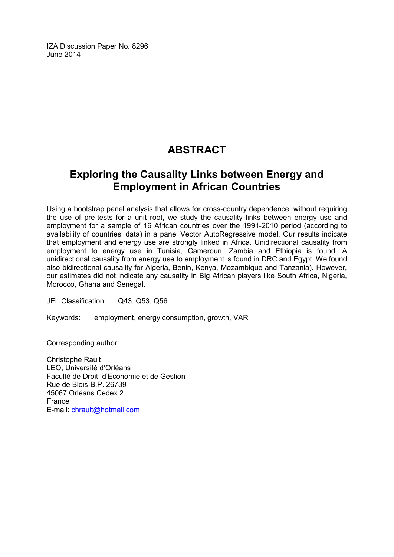IZA Discussion Paper No. 8296 June 2014

# **ABSTRACT**

# **Exploring the Causality Links between Energy and Employment in African Countries**

Using a bootstrap panel analysis that allows for cross-country dependence, without requiring the use of pre-tests for a unit root, we study the causality links between energy use and employment for a sample of 16 African countries over the 1991-2010 period (according to availability of countries' data) in a panel Vector AutoRegressive model. Our results indicate that employment and energy use are strongly linked in Africa. Unidirectional causality from employment to energy use in Tunisia, Cameroun, Zambia and Ethiopia is found. A unidirectional causality from energy use to employment is found in DRC and Egypt. We found also bidirectional causality for Algeria, Benin, Kenya, Mozambique and Tanzania). However, our estimates did not indicate any causality in Big African players like South Africa, Nigeria, Morocco, Ghana and Senegal.

JEL Classification: Q43, Q53, Q56

Keywords: employment, energy consumption, growth, VAR

Corresponding author:

Christophe Rault LEO, Université d'Orléans Faculté de Droit, d'Economie et de Gestion Rue de Blois-B.P. 26739 45067 Orléans Cedex 2 France E-mail: [chrault@hotmail.com](mailto:chrault@hotmail.com)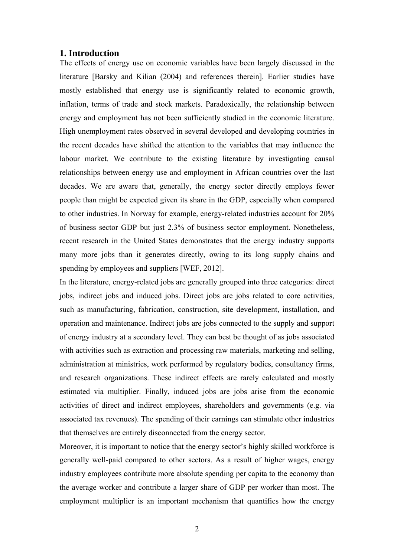### **1. Introduction**

The effects of energy use on economic variables have been largely discussed in the literature [Barsky and Kilian (2004) and references therein]. Earlier studies have mostly established that energy use is significantly related to economic growth, inflation, terms of trade and stock markets. Paradoxically, the relationship between energy and employment has not been sufficiently studied in the economic literature. High unemployment rates observed in several developed and developing countries in the recent decades have shifted the attention to the variables that may influence the labour market. We contribute to the existing literature by investigating causal relationships between energy use and employment in African countries over the last decades. We are aware that, generally, the energy sector directly employs fewer people than might be expected given its share in the GDP, especially when compared to other industries. In Norway for example, energy-related industries account for 20% of business sector GDP but just 2.3% of business sector employment. Nonetheless, recent research in the United States demonstrates that the energy industry supports many more jobs than it generates directly, owing to its long supply chains and spending by employees and suppliers [WEF, 2012].

In the literature, energy-related jobs are generally grouped into three categories: direct jobs, indirect jobs and induced jobs. Direct jobs are jobs related to core activities, such as manufacturing, fabrication, construction, site development, installation, and operation and maintenance. Indirect jobs are jobs connected to the supply and support of energy industry at a secondary level. They can best be thought of as jobs associated with activities such as extraction and processing raw materials, marketing and selling, administration at ministries, work performed by regulatory bodies, consultancy firms, and research organizations. These indirect effects are rarely calculated and mostly estimated via multiplier. Finally, induced jobs are jobs arise from the economic activities of direct and indirect employees, shareholders and governments (e.g. via associated tax revenues). The spending of their earnings can stimulate other industries that themselves are entirely disconnected from the energy sector.

Moreover, it is important to notice that the energy sector's highly skilled workforce is generally well-paid compared to other sectors. As a result of higher wages, energy industry employees contribute more absolute spending per capita to the economy than the average worker and contribute a larger share of GDP per worker than most. The employment multiplier is an important mechanism that quantifies how the energy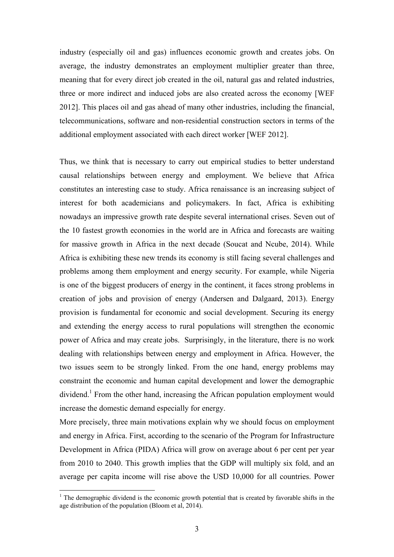industry (especially oil and gas) influences economic growth and creates jobs. On average, the industry demonstrates an employment multiplier greater than three, meaning that for every direct job created in the oil, natural gas and related industries, three or more indirect and induced jobs are also created across the economy [WEF 2012]. This places oil and gas ahead of many other industries, including the financial, telecommunications, software and non-residential construction sectors in terms of the additional employment associated with each direct worker [WEF 2012].

Thus, we think that is necessary to carry out empirical studies to better understand causal relationships between energy and employment. We believe that Africa constitutes an interesting case to study. Africa renaissance is an increasing subject of interest for both academicians and policymakers. In fact, Africa is exhibiting nowadays an impressive growth rate despite several international crises. Seven out of the 10 fastest growth economies in the world are in Africa and forecasts are waiting for massive growth in Africa in the next decade (Soucat and Ncube, 2014). While Africa is exhibiting these new trends its economy is still facing several challenges and problems among them employment and energy security. For example, while Nigeria is one of the biggest producers of energy in the continent, it faces strong problems in creation of jobs and provision of energy (Andersen and Dalgaard, 2013). Energy provision is fundamental for economic and social development. Securing its energy and extending the energy access to rural populations will strengthen the economic power of Africa and may create jobs. Surprisingly, in the literature, there is no work dealing with relationships between energy and employment in Africa. However, the two issues seem to be strongly linked. From the one hand, energy problems may constraint the economic and human capital development and lower the demographic dividend.<sup>1</sup> From the other hand, increasing the African population employment would increase the domestic demand especially for energy.

More precisely, three main motivations explain why we should focus on employment and energy in Africa. First, according to the scenario of the Program for Infrastructure Development in Africa (PIDA) Africa will grow on average about 6 per cent per year from 2010 to 2040. This growth implies that the GDP will multiply six fold, and an average per capita income will rise above the USD 10,000 for all countries. Power

<u>.</u>

 $<sup>1</sup>$  The demographic dividend is the economic growth potential that is created by favorable shifts in the</sup> age distribution of the population (Bloom et al, 2014).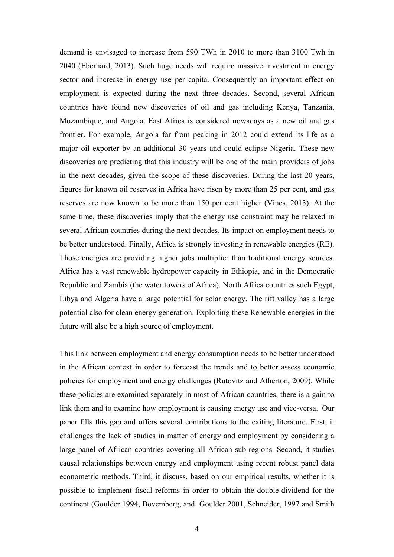demand is envisaged to increase from 590 TWh in 2010 to more than 3100 Twh in 2040 (Eberhard, 2013). Such huge needs will require massive investment in energy sector and increase in energy use per capita. Consequently an important effect on employment is expected during the next three decades. Second, several African countries have found new discoveries of oil and gas including Kenya, Tanzania, Mozambique, and Angola. East Africa is considered nowadays as a new oil and gas frontier. For example, Angola far from peaking in 2012 could extend its life as a major oil exporter by an additional 30 years and could eclipse Nigeria. These new discoveries are predicting that this industry will be one of the main providers of jobs in the next decades, given the scope of these discoveries. During the last 20 years, figures for known oil reserves in Africa have risen by more than 25 per cent, and gas reserves are now known to be more than 150 per cent higher (Vines, 2013). At the same time, these discoveries imply that the energy use constraint may be relaxed in several African countries during the next decades. Its impact on employment needs to be better understood. Finally, Africa is strongly investing in renewable energies (RE). Those energies are providing higher jobs multiplier than traditional energy sources. Africa has a vast renewable hydropower capacity in Ethiopia, and in the Democratic Republic and Zambia (the water towers of Africa). North Africa countries such Egypt, Libya and Algeria have a large potential for solar energy. The rift valley has a large potential also for clean energy generation. Exploiting these Renewable energies in the future will also be a high source of employment.

This link between employment and energy consumption needs to be better understood in the African context in order to forecast the trends and to better assess economic policies for employment and energy challenges (Rutovitz and Atherton, 2009). While these policies are examined separately in most of African countries, there is a gain to link them and to examine how employment is causing energy use and vice-versa. Our paper fills this gap and offers several contributions to the exiting literature. First, it challenges the lack of studies in matter of energy and employment by considering a large panel of African countries covering all African sub-regions. Second, it studies causal relationships between energy and employment using recent robust panel data econometric methods. Third, it discuss, based on our empirical results, whether it is possible to implement fiscal reforms in order to obtain the double-dividend for the continent (Goulder 1994, Bovemberg, and Goulder 2001, Schneider, 1997 and Smith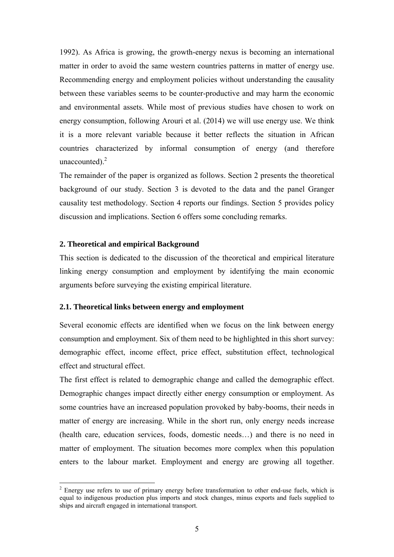1992). As Africa is growing, the growth-energy nexus is becoming an international matter in order to avoid the same western countries patterns in matter of energy use. Recommending energy and employment policies without understanding the causality between these variables seems to be counter-productive and may harm the economic and environmental assets. While most of previous studies have chosen to work on energy consumption, following Arouri et al. (2014) we will use energy use. We think it is a more relevant variable because it better reflects the situation in African countries characterized by informal consumption of energy (and therefore unaccounted). $2$ 

The remainder of the paper is organized as follows. Section 2 presents the theoretical background of our study. Section 3 is devoted to the data and the panel Granger causality test methodology. Section 4 reports our findings. Section 5 provides policy discussion and implications. Section 6 offers some concluding remarks.

#### **2. Theoretical and empirical Background**

1

This section is dedicated to the discussion of the theoretical and empirical literature linking energy consumption and employment by identifying the main economic arguments before surveying the existing empirical literature.

#### **2.1. Theoretical links between energy and employment**

Several economic effects are identified when we focus on the link between energy consumption and employment. Six of them need to be highlighted in this short survey: demographic effect, income effect, price effect, substitution effect, technological effect and structural effect.

The first effect is related to demographic change and called the demographic effect. Demographic changes impact directly either energy consumption or employment. As some countries have an increased population provoked by baby-booms, their needs in matter of energy are increasing. While in the short run, only energy needs increase (health care, education services, foods, domestic needs…) and there is no need in matter of employment. The situation becomes more complex when this population enters to the labour market. Employment and energy are growing all together.

 $2$  Energy use refers to use of primary energy before transformation to other end-use fuels, which is equal to indigenous production plus imports and stock changes, minus exports and fuels supplied to ships and aircraft engaged in international transport.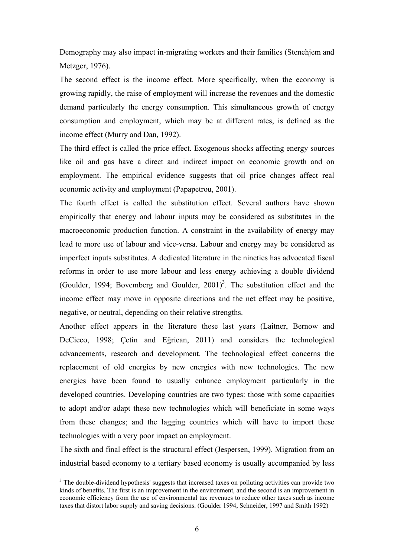Demography may also impact in-migrating workers and their families (Stenehjem and Metzger, 1976).

The second effect is the income effect. More specifically, when the economy is growing rapidly, the raise of employment will increase the revenues and the domestic demand particularly the energy consumption. This simultaneous growth of energy consumption and employment, which may be at different rates, is defined as the income effect (Murry and Dan, 1992).

The third effect is called the price effect. Exogenous shocks affecting energy sources like oil and gas have a direct and indirect impact on economic growth and on employment. The empirical evidence suggests that oil price changes affect real economic activity and employment (Papapetrou, 2001).

The fourth effect is called the substitution effect. Several authors have shown empirically that energy and labour inputs may be considered as substitutes in the macroeconomic production function. A constraint in the availability of energy may lead to more use of labour and vice-versa. Labour and energy may be considered as imperfect inputs substitutes. A dedicated literature in the nineties has advocated fiscal reforms in order to use more labour and less energy achieving a double dividend (Goulder, 1994; Bovemberg and Goulder,  $2001$ <sup>3</sup>. The substitution effect and the income effect may move in opposite directions and the net effect may be positive, negative, or neutral, depending on their relative strengths.

Another effect appears in the literature these last years (Laitner, Bernow and DeCicco, 1998; Çetin and Eğrican, 2011) and considers the technological advancements, research and development. The technological effect concerns the replacement of old energies by new energies with new technologies. The new energies have been found to usually enhance employment particularly in the developed countries. Developing countries are two types: those with some capacities to adopt and/or adapt these new technologies which will beneficiate in some ways from these changes; and the lagging countries which will have to import these technologies with a very poor impact on employment.

The sixth and final effect is the structural effect (Jespersen, 1999). Migration from an industrial based economy to a tertiary based economy is usually accompanied by less

1

<sup>&</sup>lt;sup>3</sup> The double-dividend hypothesis' suggests that increased taxes on polluting activities can provide two kinds of benefits. The first is an improvement in the environment, and the second is an improvement in economic efficiency from the use of environmental tax revenues to reduce other taxes such as income taxes that distort labor supply and saving decisions. (Goulder 1994, Schneider, 1997 and Smith 1992)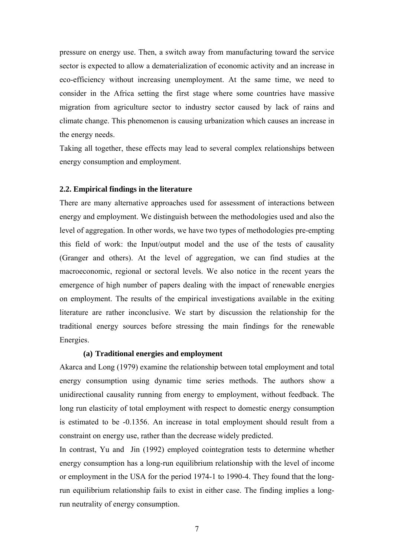pressure on energy use. Then, a switch away from manufacturing toward the service sector is expected to allow a dematerialization of economic activity and an increase in eco-efficiency without increasing unemployment. At the same time, we need to consider in the Africa setting the first stage where some countries have massive migration from agriculture sector to industry sector caused by lack of rains and climate change. This phenomenon is causing urbanization which causes an increase in the energy needs.

Taking all together, these effects may lead to several complex relationships between energy consumption and employment.

#### **2.2. Empirical findings in the literature**

There are many alternative approaches used for assessment of interactions between energy and employment. We distinguish between the methodologies used and also the level of aggregation. In other words, we have two types of methodologies pre-empting this field of work: the Input/output model and the use of the tests of causality (Granger and others). At the level of aggregation, we can find studies at the macroeconomic, regional or sectoral levels. We also notice in the recent years the emergence of high number of papers dealing with the impact of renewable energies on employment. The results of the empirical investigations available in the exiting literature are rather inconclusive. We start by discussion the relationship for the traditional energy sources before stressing the main findings for the renewable Energies.

#### **(a) Traditional energies and employment**

Akarca and Long (1979) examine the relationship between total employment and total energy consumption using dynamic time series methods. The authors show a unidirectional causality running from energy to employment, without feedback. The long run elasticity of total employment with respect to domestic energy consumption is estimated to be -0.1356. An increase in total employment should result from a constraint on energy use, rather than the decrease widely predicted.

In contrast, Yu and Jin (1992) employed cointegration tests to determine whether energy consumption has a long-run equilibrium relationship with the level of income or employment in the USA for the period 1974-1 to 1990-4. They found that the longrun equilibrium relationship fails to exist in either case. The finding implies a longrun neutrality of energy consumption.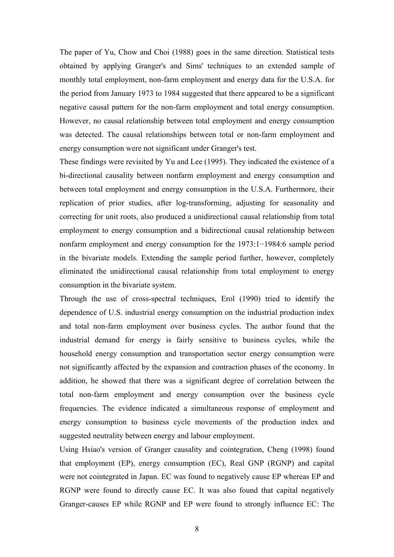The paper of Yu, Chow and Choi (1988) goes in the same direction. Statistical tests obtained by applying Granger's and Sims' techniques to an extended sample of monthly total employment, non-farm employment and energy data for the U.S.A. for the period from January 1973 to 1984 suggested that there appeared to be a significant negative causal pattern for the non-farm employment and total energy consumption. However, no causal relationship between total employment and energy consumption was detected. The causal relationships between total or non-farm employment and energy consumption were not significant under Granger's test.

These findings were revisited by Yu and Lee (1995). They indicated the existence of a bi-directional causality between nonfarm employment and energy consumption and between total employment and energy consumption in the U.S.A. Furthermore, their replication of prior studies, after log-transforming, adjusting for seasonality and correcting for unit roots, also produced a unidirectional causal relationship from total employment to energy consumption and a bidirectional causal relationship between nonfarm employment and energy consumption for the 1973:1−1984:6 sample period in the bivariate models. Extending the sample period further, however, completely eliminated the unidirectional causal relationship from total employment to energy consumption in the bivariate system.

Through the use of cross-spectral techniques, Erol (1990) tried to identify the dependence of U.S. industrial energy consumption on the industrial production index and total non-farm employment over business cycles. The author found that the industrial demand for energy is fairly sensitive to business cycles, while the household energy consumption and transportation sector energy consumption were not significantly affected by the expansion and contraction phases of the economy. In addition, he showed that there was a significant degree of correlation between the total non-farm employment and energy consumption over the business cycle frequencies. The evidence indicated a simultaneous response of employment and energy consumption to business cycle movements of the production index and suggested neutrality between energy and labour employment.

Using Hsiao's version of Granger causality and cointegration, Cheng (1998) found that employment (EP), energy consumption (EC), Real GNP (RGNP) and capital were not cointegrated in Japan. EC was found to negatively cause EP whereas EP and RGNP were found to directly cause EC. It was also found that capital negatively Granger-causes EP while RGNP and EP were found to strongly influence EC: The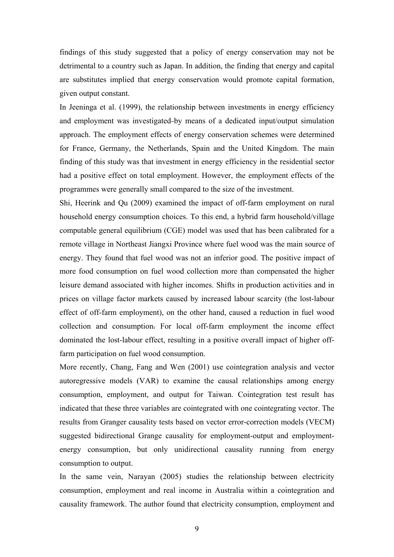findings of this study suggested that a policy of energy conservation may not be detrimental to a country such as Japan. In addition, the finding that energy and capital are substitutes implied that energy conservation would promote capital formation, given output constant.

In Jeeninga et al. (1999), the relationship between investments in energy efficiency and employment was investigated by means of a dedicated input/output simulation approach. The employment effects of energy conservation schemes were determined for France, Germany, the Netherlands, Spain and the United Kingdom. The main finding of this study was that investment in energy efficiency in the residential sector had a positive effect on total employment. However, the employment effects of the programmes were generally small compared to the size of the investment.

Shi, Heerink and Qu (2009) examined the impact of off-farm employment on rural household energy consumption choices. To this end, a hybrid farm household/village computable general equilibrium (CGE) model was used that has been calibrated for a remote village in Northeast Jiangxi Province where fuel wood was the main source of energy. They found that fuel wood was not an inferior good. The positive impact of more food consumption on fuel wood collection more than compensated the higher leisure demand associated with higher incomes. Shifts in production activities and in prices on village factor markets caused by increased labour scarcity (the lost-labour effect of off-farm employment), on the other hand, caused a reduction in fuel wood collection and consumption. For local off-farm employment the income effect dominated the lost-labour effect, resulting in a positive overall impact of higher offfarm participation on fuel wood consumption.

More recently, Chang, Fang and Wen (2001) use cointegration analysis and vector autoregressive models (VAR) to examine the causal relationships among energy consumption, employment, and output for Taiwan. Cointegration test result has indicated that these three variables are cointegrated with one cointegrating vector. The results from Granger causality tests based on vector error-correction models (VECM) suggested bidirectional Grange causality for employment-output and employmentenergy consumption, but only unidirectional causality running from energy consumption to output.

In the same vein, Narayan (2005) studies the relationship between electricity consumption, employment and real income in Australia within a cointegration and causality framework. The author found that electricity consumption, employment and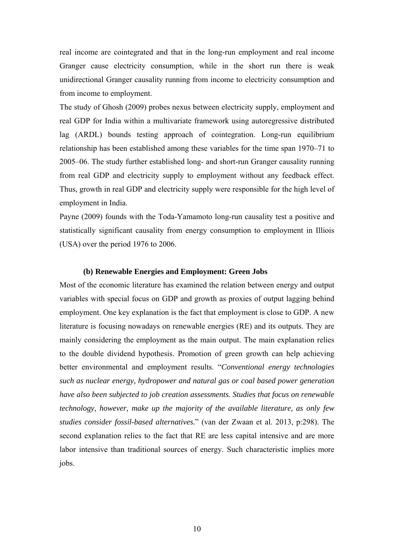real income are cointegrated and that in the long-run employment and real income Granger cause electricity consumption, while in the short run there is weak unidirectional Granger causality running from income to electricity consumption and from income to employment.

The study of Ghosh (2009) probes nexus between electricity supply, employment and real GDP for India within a multivariate framework using autoregressive distributed lag (ARDL) bounds testing approach of cointegration. Long-run equilibrium relationship has been established among these variables for the time span 1970–71 to 2005–06. The study further established long- and short-run Granger causality running from real GDP and electricity supply to employment without any feedback effect. Thus, growth in real GDP and electricity supply were responsible for the high level of employment in India.

Payne (2009) founds with the Toda-Yamamoto long-run causality test a positive and statistically significant causality from energy consumption to employment in Illiois (USA) over the period 1976 to 2006.

### **(b) Renewable Energies and Employment: Green Jobs**

Most of the economic literature has examined the relation between energy and output variables with special focus on GDP and growth as proxies of output lagging behind employment. One key explanation is the fact that employment is close to GDP. A new literature is focusing nowadays on renewable energies (RE) and its outputs. They are mainly considering the employment as the main output. The main explanation relies to the double dividend hypothesis. Promotion of green growth can help achieving better environmental and employment results. "*Conventional energy technologies such as nuclear energy, hydropower and natural gas or coal based power generation have also been subjected to job creation assessments. Studies that focus on renewable technology, however, make up the majority of the available literature, as only few studies consider fossil-based alternatives.*" (van der Zwaan et al. 2013, p:298). The second explanation relies to the fact that RE are less capital intensive and are more labor intensive than traditional sources of energy. Such characteristic implies more jobs.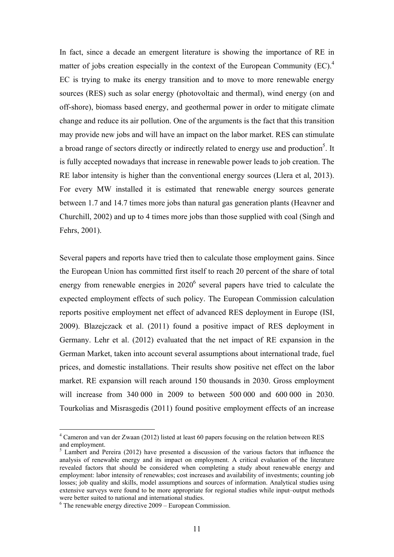In fact, since a decade an emergent literature is showing the importance of RE in matter of jobs creation especially in the context of the European Community (EC).<sup>4</sup> EC is trying to make its energy transition and to move to more renewable energy sources (RES) such as solar energy (photovoltaic and thermal), wind energy (on and off-shore), biomass based energy, and geothermal power in order to mitigate climate change and reduce its air pollution. One of the arguments is the fact that this transition may provide new jobs and will have an impact on the labor market. RES can stimulate a broad range of sectors directly or indirectly related to energy use and production<sup>5</sup>. It is fully accepted nowadays that increase in renewable power leads to job creation. The RE labor intensity is higher than the conventional energy sources (Llera et al, 2013). For every MW installed it is estimated that renewable energy sources generate between 1.7 and 14.7 times more jobs than natural gas generation plants (Heavner and Churchill, 2002) and up to 4 times more jobs than those supplied with coal (Singh and Fehrs, 2001).

Several papers and reports have tried then to calculate those employment gains. Since the European Union has committed first itself to reach 20 percent of the share of total energy from renewable energies in  $2020<sup>6</sup>$  several papers have tried to calculate the expected employment effects of such policy. The European Commission calculation reports positive employment net effect of advanced RES deployment in Europe (ISI, 2009). Blazejczack et al. (2011) found a positive impact of RES deployment in Germany. Lehr et al. (2012) evaluated that the net impact of RE expansion in the German Market, taken into account several assumptions about international trade, fuel prices, and domestic installations. Their results show positive net effect on the labor market. RE expansion will reach around 150 thousands in 2030. Gross employment will increase from 340 000 in 2009 to between 500 000 and 600 000 in 2030. Tourkolias and Misrasgedis (2011) found positive employment effects of an increase

1

<sup>&</sup>lt;sup>4</sup> Cameron and van der Zwaan (2012) listed at least 60 papers focusing on the relation between RES and employment.

<sup>&</sup>lt;sup>5</sup> Lambert and Pereira (2012) have presented a discussion of the various factors that influence the analysis of renewable energy and its impact on employment. A critical evaluation of the literature revealed factors that should be considered when completing a study about renewable energy and employment: labor intensity of renewables; cost increases and availability of investments; counting job losses; job quality and skills, model assumptions and sources of information. Analytical studies using extensive surveys were found to be more appropriate for regional studies while input–output methods were better suited to national and international studies.

 $6$  The renewable energy directive  $2009$  – European Commission.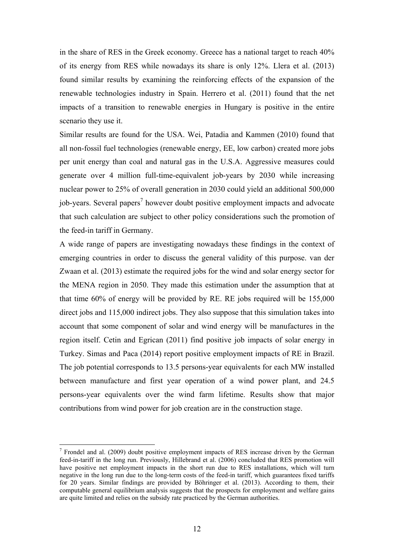in the share of RES in the Greek economy. Greece has a national target to reach 40% of its energy from RES while nowadays its share is only 12%. Llera et al. (2013) found similar results by examining the reinforcing effects of the expansion of the renewable technologies industry in Spain. Herrero et al. (2011) found that the net impacts of a transition to renewable energies in Hungary is positive in the entire scenario they use it.

Similar results are found for the USA. Wei, Patadia and Kammen (2010) found that all non-fossil fuel technologies (renewable energy, EE, low carbon) created more jobs per unit energy than coal and natural gas in the U.S.A. Aggressive measures could generate over 4 million full-time-equivalent job-years by 2030 while increasing nuclear power to 25% of overall generation in 2030 could yield an additional 500,000 job-years. Several papers<sup>7</sup> however doubt positive employment impacts and advocate that such calculation are subject to other policy considerations such the promotion of the feed-in tariff in Germany.

A wide range of papers are investigating nowadays these findings in the context of emerging countries in order to discuss the general validity of this purpose. van der Zwaan et al. (2013) estimate the required jobs for the wind and solar energy sector for the MENA region in 2050. They made this estimation under the assumption that at that time 60% of energy will be provided by RE. RE jobs required will be 155,000 direct jobs and 115,000 indirect jobs. They also suppose that this simulation takes into account that some component of solar and wind energy will be manufactures in the region itself. Cetin and Egrican (2011) find positive job impacts of solar energy in Turkey. Simas and Paca (2014) report positive employment impacts of RE in Brazil. The job potential corresponds to 13.5 persons-year equivalents for each MW installed between manufacture and first year operation of a wind power plant, and 24.5 persons-year equivalents over the wind farm lifetime. Results show that major contributions from wind power for job creation are in the construction stage.

<u>.</u>

 $<sup>7</sup>$  Frondel and al. (2009) doubt positive employment impacts of RES increase driven by the German</sup> feed-in-tariff in the long run. Previously, Hillebrand et al. (2006) concluded that RES promotion will have positive net employment impacts in the short run due to RES installations, which will turn negative in the long run due to the long-term costs of the feed-in tariff, which guarantees fixed tariffs for 20 years. Similar findings are provided by Böhringer et al. (2013). According to them, their computable general equilibrium analysis suggests that the prospects for employment and welfare gains are quite limited and relies on the subsidy rate practiced by the German authorities.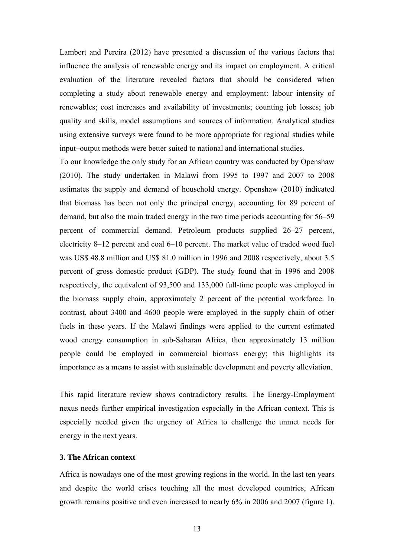Lambert and Pereira (2012) have presented a discussion of the various factors that influence the analysis of renewable energy and its impact on employment. A critical evaluation of the literature revealed factors that should be considered when completing a study about renewable energy and employment: labour intensity of renewables; cost increases and availability of investments; counting job losses; job quality and skills, model assumptions and sources of information. Analytical studies using extensive surveys were found to be more appropriate for regional studies while input–output methods were better suited to national and international studies.

To our knowledge the only study for an African country was conducted by Openshaw (2010). The study undertaken in Malawi from 1995 to 1997 and 2007 to 2008 estimates the supply and demand of household energy. Openshaw (2010) indicated that biomass has been not only the principal energy, accounting for 89 percent of demand, but also the main traded energy in the two time periods accounting for 56–59 percent of commercial demand. Petroleum products supplied 26–27 percent, electricity 8–12 percent and coal 6–10 percent. The market value of traded wood fuel was US\$ 48.8 million and US\$ 81.0 million in 1996 and 2008 respectively, about 3.5 percent of gross domestic product (GDP). The study found that in 1996 and 2008 respectively, the equivalent of 93,500 and 133,000 full-time people was employed in the biomass supply chain, approximately 2 percent of the potential workforce. In contrast, about 3400 and 4600 people were employed in the supply chain of other fuels in these years. If the Malawi findings were applied to the current estimated wood energy consumption in sub-Saharan Africa, then approximately 13 million people could be employed in commercial biomass energy; this highlights its importance as a means to assist with sustainable development and poverty alleviation.

This rapid literature review shows contradictory results. The Energy-Employment nexus needs further empirical investigation especially in the African context. This is especially needed given the urgency of Africa to challenge the unmet needs for energy in the next years.

#### **3. The African context**

Africa is nowadays one of the most growing regions in the world. In the last ten years and despite the world crises touching all the most developed countries, African growth remains positive and even increased to nearly 6% in 2006 and 2007 (figure 1).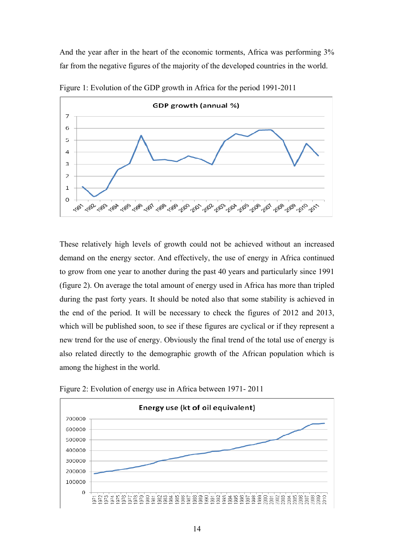And the year after in the heart of the economic torments, Africa was performing 3% far from the negative figures of the majority of the developed countries in the world.



Figure 1: Evolution of the GDP growth in Africa for the period 1991-2011

These relatively high levels of growth could not be achieved without an increased demand on the energy sector. And effectively, the use of energy in Africa continued to grow from one year to another during the past 40 years and particularly since 1991 (figure 2). On average the total amount of energy used in Africa has more than tripled during the past forty years. It should be noted also that some stability is achieved in the end of the period. It will be necessary to check the figures of 2012 and 2013, which will be published soon, to see if these figures are cyclical or if they represent a new trend for the use of energy. Obviously the final trend of the total use of energy is also related directly to the demographic growth of the African population which is among the highest in the world.



Figure 2: Evolution of energy use in Africa between 1971- 2011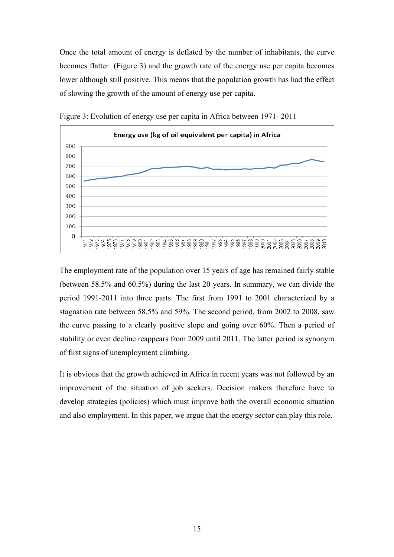Once the total amount of energy is deflated by the number of inhabitants, the curve becomes flatter (Figure 3) and the growth rate of the energy use per capita becomes lower although still positive. This means that the population growth has had the effect of slowing the growth of the amount of energy use per capita.



Figure 3: Evolution of energy use per capita in Africa between 1971- 2011

The employment rate of the population over 15 years of age has remained fairly stable (between 58.5% and 60.5%) during the last 20 years. In summary, we can divide the period 1991-2011 into three parts. The first from 1991 to 2001 characterized by a stagnation rate between 58.5% and 59%. The second period, from 2002 to 2008, saw the curve passing to a clearly positive slope and going over 60%. Then a period of stability or even decline reappears from 2009 until 2011. The latter period is synonym of first signs of unemployment climbing.

It is obvious that the growth achieved in Africa in recent years was not followed by an improvement of the situation of job seekers. Decision makers therefore have to develop strategies (policies) which must improve both the overall economic situation and also employment. In this paper, we argue that the energy sector can play this role.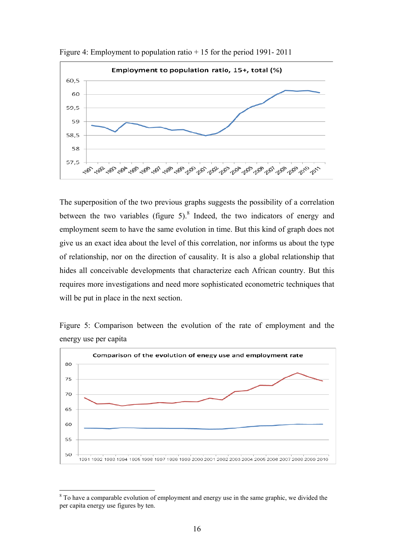

Figure 4: Employment to population ratio + 15 for the period 1991- 2011

The superposition of the two previous graphs suggests the possibility of a correlation between the two variables (figure 5). $8$  Indeed, the two indicators of energy and employment seem to have the same evolution in time. But this kind of graph does not give us an exact idea about the level of this correlation, nor informs us about the type of relationship, nor on the direction of causality. It is also a global relationship that hides all conceivable developments that characterize each African country. But this requires more investigations and need more sophisticated econometric techniques that will be put in place in the next section.

Figure 5: Comparison between the evolution of the rate of employment and the energy use per capita



 $8$  To have a comparable evolution of employment and energy use in the same graphic, we divided the per capita energy use figures by ten.

<u>.</u>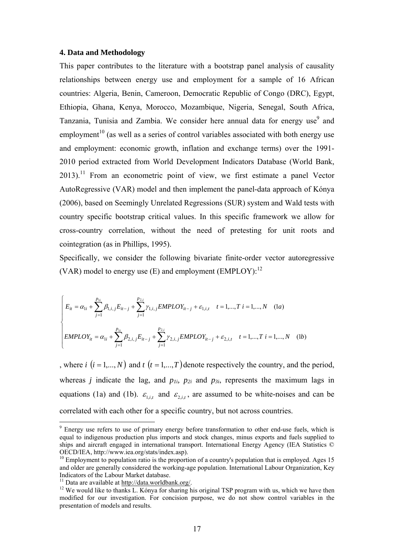#### **4. Data and Methodology**

This paper contributes to the literature with a bootstrap panel analysis of causality relationships between energy use and employment for a sample of 16 African countries: Algeria, Benin, Cameroon, Democratic Republic of Congo (DRC), Egypt, Ethiopia, Ghana, Kenya, Morocco, Mozambique, Nigeria, Senegal, South Africa, Tanzania, Tunisia and Zambia. We consider here annual data for energy use<sup>9</sup> and employment<sup>10</sup> (as well as a series of control variables associated with both energy use and employment: economic growth, inflation and exchange terms) over the 1991- 2010 period extracted from World Development Indicators Database (World Bank,  $2013$ .<sup>11</sup> From an econometric point of view, we first estimate a panel Vector AutoRegressive (VAR) model and then implement the panel-data approach of Kónya (2006), based on Seemingly Unrelated Regressions (SUR) system and Wald tests with country specific bootstrap critical values. In this specific framework we allow for cross-country correlation, without the need of pretesting for unit roots and cointegration (as in Phillips, 1995).

Specifically, we consider the following bivariate finite-order vector autoregressive (VAR) model to energy use  $(E)$  and employment  $(EMPLOY)^{12}$ 

$$
\begin{cases}\nE_{it} = \alpha_{1i} + \sum_{j=1}^{p_{1i}} \beta_{1,i,j} E_{it-j} + \sum_{j=1}^{p_{2i}} \gamma_{1,i,j} \text{EMPLOY}_{it-j} + \varepsilon_{1,i,t} & t = 1,...,T \ i = 1,...,N \ (1a) \\
\text{EMPLOY}_{it} = \alpha_{1i} + \sum_{j=1}^{p_{1i}} \beta_{2,i,j} E_{it-j} + \sum_{j=1}^{p_{2,i}} \gamma_{2,i,j} \text{EMPLOY}_{it-j} + \varepsilon_{2,i,t} & t = 1,...,T \ i = 1,...,N \ (1b)\n\end{cases}
$$

, where *i*  $(i = 1,..., N)$  and  $t$   $(t = 1,..., T)$  denote respectively the country, and the period, whereas *j* indicate the lag, and  $p_{1i}$ ,  $p_{2i}$  and  $p_{3i}$ , represents the maximum lags in equations (1a) and (1b).  $\varepsilon_{i,i}$  and  $\varepsilon_{2,i}$ , are assumed to be white-noises and can be correlated with each other for a specific country, but not across countries.

<u>.</u>

<sup>&</sup>lt;sup>9</sup> Energy use refers to use of primary energy before transformation to other end-use fuels, which is equal to indigenous production plus imports and stock changes, minus exports and fuels supplied to ships and aircraft engaged in international transport. International Energy Agency (IEA Statistics © OECD/IEA, http://www.iea.org/stats/index.asp).

 $10$  Employment to population ratio is the proportion of a country's population that is employed. Ages 15 and older are generally considered the working-age population. International Labour Organization, Key Indicators of the Labour Market database.<br><sup>11</sup> Data are available at http://data.worldbank.org/.

 $12$  We would like to thanks L. Kónya for sharing his original TSP program with us, which we have then modified for our investigation. For concision purpose, we do not show control variables in the presentation of models and results.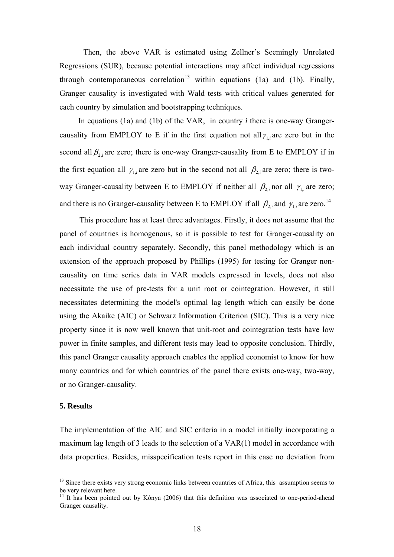Then, the above VAR is estimated using Zellner's Seemingly Unrelated Regressions (SUR), because potential interactions may affect individual regressions through contemporaneous correlation<sup>13</sup> within equations (1a) and (1b). Finally, Granger causality is investigated with Wald tests with critical values generated for each country by simulation and bootstrapping techniques.

In equations (1a) and (1b) of the VAR, in country *i* there is one-way Grangercausality from EMPLOY to E if in the first equation not all  $\gamma_{1,i}$  are zero but in the second all  $\beta_{2i}$  are zero; there is one-way Granger-causality from E to EMPLOY if in the first equation all  $\gamma_{1,i}$  are zero but in the second not all  $\beta_{2,i}$  are zero; there is twoway Granger-causality between E to EMPLOY if neither all  $\beta_{2i}$  nor all  $\gamma_{1i}$  are zero; and there is no Granger-causality between E to EMPLOY if all  $\beta_{2,i}$  and  $\gamma_{1,i}$  are zero.<sup>14</sup>

 This procedure has at least three advantages. Firstly, it does not assume that the panel of countries is homogenous, so it is possible to test for Granger-causality on each individual country separately. Secondly, this panel methodology which is an extension of the approach proposed by Phillips (1995) for testing for Granger noncausality on time series data in VAR models expressed in levels, does not also necessitate the use of pre-tests for a unit root or cointegration. However, it still necessitates determining the model's optimal lag length which can easily be done using the Akaike (AIC) or Schwarz Information Criterion (SIC). This is a very nice property since it is now well known that unit-root and cointegration tests have low power in finite samples, and different tests may lead to opposite conclusion. Thirdly, this panel Granger causality approach enables the applied economist to know for how many countries and for which countries of the panel there exists one-way, two-way, or no Granger-causality.

#### **5. Results**

1

The implementation of the AIC and SIC criteria in a model initially incorporating a maximum lag length of 3 leads to the selection of a VAR(1) model in accordance with data properties. Besides, misspecification tests report in this case no deviation from

<sup>&</sup>lt;sup>13</sup> Since there exists very strong economic links between countries of Africa, this assumption seems to be very relevant here.

<sup>&</sup>lt;sup>14</sup> It has been pointed out by Kónya (2006) that this definition was associated to one-period-ahead Granger causality.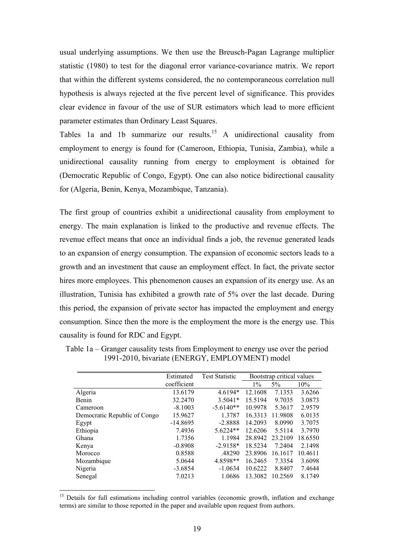usual underlying assumptions. We then use the Breusch-Pagan Lagrange multiplier statistic (1980) to test for the diagonal error variance-covariance matrix. We report that within the different systems considered, the no contemporaneous correlation null hypothesis is always rejected at the five percent level of significance. This provides clear evidence in favour of the use of SUR estimators which lead to more efficient parameter estimates than Ordinary Least Squares.

Tables 1a and 1b summarize our results.<sup>15</sup> A unidirectional causality from employment to energy is found for (Cameroon, Ethiopia, Tunisia, Zambia), while a unidirectional causality running from energy to employment is obtained for (Democratic Republic of Congo, Egypt). One can also notice bidirectional causality for (Algeria, Benin, Kenya, Mozambique, Tanzania).

The first group of countries exhibit a unidirectional causality from employment to energy. The main explanation is linked to the productive and revenue effects. The revenue effect means that once an individual finds a job, the revenue generated leads to an expansion of energy consumption. The expansion of economic sectors leads to a growth and an investment that cause an employment effect. In fact, the private sector hires more employees. This phenomenon causes an expansion of its energy use. As an illustration, Tunisia has exhibited a growth rate of 5% over the last decade. During this period, the expansion of private sector has impacted the employment and energy consumption. Since then the more is the employment the more is the energy use. This causality is found for RDC and Egypt.

|                              | Estimated   | <b>Test Statistic</b> | Bootstrap critical values |         |         |
|------------------------------|-------------|-----------------------|---------------------------|---------|---------|
|                              | coefficient |                       | $1\%$                     | $5\%$   | 10%     |
| Algeria                      | 13.6179     | 4.6194*               | 12.1608                   | 7.1353  | 3.6266  |
| Benin                        | 32.2470     | $3.5041*$             | 15.5194                   | 9.7035  | 3.0873  |
| Cameroon                     | $-8.1003$   | $-5.6140**$           | 10.9978                   | 5.3617  | 2.9579  |
| Democratic Republic of Congo | 15.9627     | 1.3787                | 16.3313                   | 11.9808 | 6.0135  |
| Egypt                        | $-14.8695$  | $-2.8888$             | 14.2093                   | 8.0990  | 3.7075  |
| Ethiopia                     | 7.4936      | $5.6224**$            | 12.6206                   | 5.5114  | 3.7970  |
| Ghana                        | 1.7356      | 1.1984                | 28.8942                   | 23.2109 | 18.6550 |
| Kenya                        | $-0.8908$   | $-2.9158*$            | 18.5234                   | 7.2404  | 2.1498  |
| Morocco                      | 0.8588      | .48290                | 23.8906                   | 16.1617 | 10.4611 |
| Mozambique                   | 5.0644      | 4.8598**              | 16.2465                   | 7.3354  | 3.6098  |
| Nigeria                      | $-3.6854$   | $-1.0634$             | 10.6222                   | 8.8407  | 7.4644  |
| Senegal                      | 7.0213      | 1.0686                | 13.3082                   | 10.2569 | 8.1749  |

Table 1a – Granger causality tests from Employment to energy use over the period 1991-2010, bivariate (ENERGY, EMPLOYMENT) model

<u>.</u>

<sup>&</sup>lt;sup>15</sup> Details for full estimations including control variables (economic growth, inflation and exchange terms) are similar to those reported in the paper and available upon request from authors.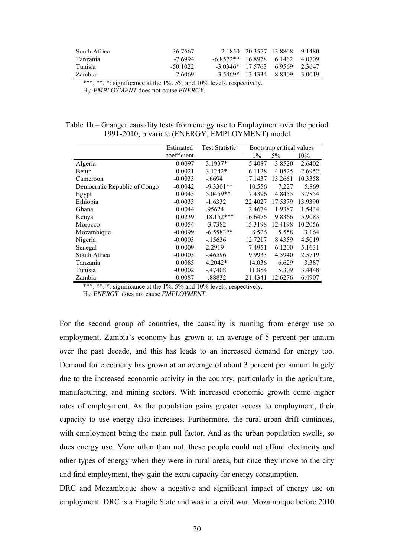| South Africa | 36 7667  |                            | 2 1850 20 3577 13 8808 9 1480 |         |
|--------------|----------|----------------------------|-------------------------------|---------|
| Tanzania     | -7 6994  | $-6.8572**$ 16.8978 6.1462 |                               | -4.0709 |
| Tunisia      | -50 1022 | $-3.0346*$ 17.5763 6.9569  |                               | 2.3647  |
| Zambia       | $-26069$ | $-3,5469*$ 13 4334 8 8309  |                               | 3.0019  |

\*\*\*. \*\*. \*: significance at the 1%. 5% and 10% levels. respectively. H0: *EMPLOYMENT* does not cause *ENERGY*.

#### Table 1b – Granger causality tests from energy use to Employment over the period 1991-2010, bivariate (ENERGY, EMPLOYMENT) model

|                              | Estimated   | <b>Test Statistic</b> | Bootstrap critical values |         |         |
|------------------------------|-------------|-----------------------|---------------------------|---------|---------|
|                              | coefficient |                       | $1\%$                     | 5%      | 10%     |
| Algeria                      | 0.0097      | $3.1937*$             | 5.4087                    | 3.8520  | 2.6402  |
| Benin                        | 0.0021      | $3.1242*$             | 6.1128                    | 4.0525  | 2.6952  |
| Cameroon                     | $-0.0033$   | $-6694$               | 17.1437                   | 13.2661 | 10.3358 |
| Democratic Republic of Congo | $-0.0042$   | $-9.3301**$           | 10.556                    | 7.227   | 5.869   |
| Egypt                        | 0.0045      | $5.0459**$            | 7.4396                    | 4.8455  | 3.7854  |
| Ethiopia                     | $-0.0033$   | $-1.6332$             | 22.4027                   | 17.5379 | 13.9390 |
| Ghana                        | 0.0044      | .95624                | 2.4674                    | 1.9387  | 1.5434  |
| Kenya                        | 0.0239      | 18.152***             | 16.6476                   | 9.8366  | 5.9083  |
| Morocco                      | $-0.0054$   | $-3.7382$             | 15.3198                   | 12.4198 | 10.2056 |
| Mozambique                   | $-0.0099$   | $-6.5583**$           | 8.526                     | 5.558   | 3.164   |
| Nigeria                      | $-0.0003$   | -.15636               | 12.7217                   | 8.4359  | 4.5019  |
| Senegal                      | 0.0009      | 2.2919                | 7.4951                    | 6.1200  | 5.1631  |
| South Africa                 | $-0.0005$   | -.46596               | 9.9933                    | 4.5940  | 2.5719  |
| Tanzania                     | 0.0085      | 4.2042*               | 14.036                    | 6.629   | 3.387   |
| Tunisia                      | $-0.0002$   | $-.47408$             | 11.854                    | 5.309   | 3.4448  |
| Zambia                       | $-0.0087$   | -.88832               | 21.4341                   | 12.6276 | 6.4907  |

\*\*\*. \*\*. \*: significance at the 1%. 5% and 10% levels. respectively.

H0: *ENERGY* does not cause *EMPLOYMENT*.

For the second group of countries, the causality is running from energy use to employment. Zambia's economy has grown at an average of 5 percent per annum over the past decade, and this has leads to an increased demand for energy too. Demand for electricity has grown at an average of about 3 percent per annum largely due to the increased economic activity in the country, particularly in the agriculture, manufacturing, and mining sectors. With increased economic growth come higher rates of employment. As the population gains greater access to employment, their capacity to use energy also increases. Furthermore, the rural-urban drift continues, with employment being the main pull factor. And as the urban population swells, so does energy use. More often than not, these people could not afford electricity and other types of energy when they were in rural areas, but once they move to the city and find employment, they gain the extra capacity for energy consumption.

DRC and Mozambique show a negative and significant impact of energy use on employment. DRC is a Fragile State and was in a civil war. Mozambique before 2010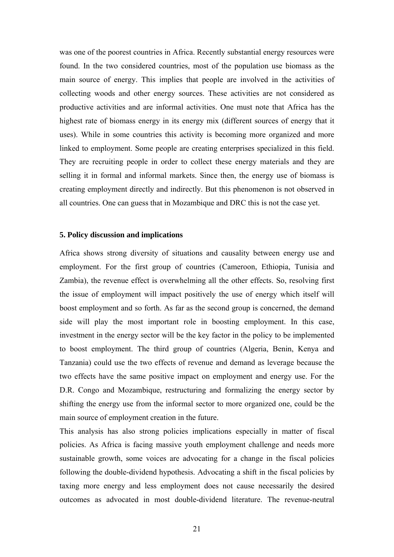was one of the poorest countries in Africa. Recently substantial energy resources were found. In the two considered countries, most of the population use biomass as the main source of energy. This implies that people are involved in the activities of collecting woods and other energy sources. These activities are not considered as productive activities and are informal activities. One must note that Africa has the highest rate of biomass energy in its energy mix (different sources of energy that it uses). While in some countries this activity is becoming more organized and more linked to employment. Some people are creating enterprises specialized in this field. They are recruiting people in order to collect these energy materials and they are selling it in formal and informal markets. Since then, the energy use of biomass is creating employment directly and indirectly. But this phenomenon is not observed in all countries. One can guess that in Mozambique and DRC this is not the case yet.

### **5. Policy discussion and implications**

Africa shows strong diversity of situations and causality between energy use and employment. For the first group of countries (Cameroon, Ethiopia, Tunisia and Zambia), the revenue effect is overwhelming all the other effects. So, resolving first the issue of employment will impact positively the use of energy which itself will boost employment and so forth. As far as the second group is concerned, the demand side will play the most important role in boosting employment. In this case, investment in the energy sector will be the key factor in the policy to be implemented to boost employment. The third group of countries (Algeria, Benin, Kenya and Tanzania) could use the two effects of revenue and demand as leverage because the two effects have the same positive impact on employment and energy use. For the D.R. Congo and Mozambique, restructuring and formalizing the energy sector by shifting the energy use from the informal sector to more organized one, could be the main source of employment creation in the future.

This analysis has also strong policies implications especially in matter of fiscal policies. As Africa is facing massive youth employment challenge and needs more sustainable growth, some voices are advocating for a change in the fiscal policies following the double-dividend hypothesis. Advocating a shift in the fiscal policies by taxing more energy and less employment does not cause necessarily the desired outcomes as advocated in most double-dividend literature. The revenue-neutral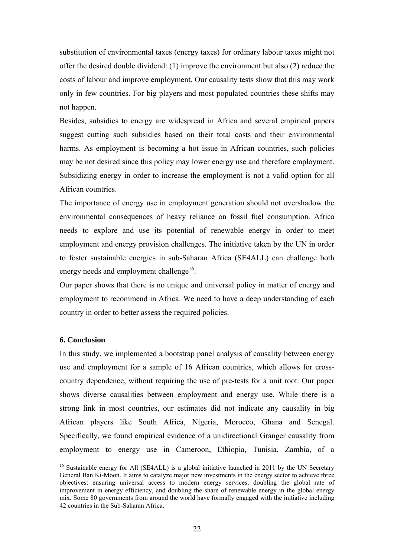substitution of environmental taxes (energy taxes) for ordinary labour taxes might not offer the desired double dividend: (1) improve the environment but also (2) reduce the costs of labour and improve employment. Our causality tests show that this may work only in few countries. For big players and most populated countries these shifts may not happen.

Besides, subsidies to energy are widespread in Africa and several empirical papers suggest cutting such subsidies based on their total costs and their environmental harms. As employment is becoming a hot issue in African countries, such policies may be not desired since this policy may lower energy use and therefore employment. Subsidizing energy in order to increase the employment is not a valid option for all African countries.

The importance of energy use in employment generation should not overshadow the environmental consequences of heavy reliance on fossil fuel consumption. Africa needs to explore and use its potential of renewable energy in order to meet employment and energy provision challenges. The initiative taken by the UN in order to foster sustainable energies in sub-Saharan Africa (SE4ALL) can challenge both energy needs and employment challenge<sup>16</sup>.

Our paper shows that there is no unique and universal policy in matter of energy and employment to recommend in Africa. We need to have a deep understanding of each country in order to better assess the required policies.

#### **6. Conclusion**

1

In this study, we implemented a bootstrap panel analysis of causality between energy use and employment for a sample of 16 African countries, which allows for crosscountry dependence, without requiring the use of pre-tests for a unit root. Our paper shows diverse causalities between employment and energy use. While there is a strong link in most countries, our estimates did not indicate any causality in big African players like South Africa, Nigeria, Morocco, Ghana and Senegal. Specifically, we found empirical evidence of a unidirectional Granger causality from employment to energy use in Cameroon, Ethiopia, Tunisia, Zambia, of a

<sup>&</sup>lt;sup>16</sup> Sustainable energy for All (SE4ALL) is a global initiative launched in 2011 by the UN Secretary General Ban Ki-Moon. It aims to catalyze major new investments in the energy sector to achieve three objectives: ensuring universal access to modern energy services, doubling the global rate of improvement in energy efficiency, and doubling the share of renewable energy in the global energy mix. Some 80 governments from around the world have formally engaged with the initiative including 42 countries in the Sub-Saharan Africa.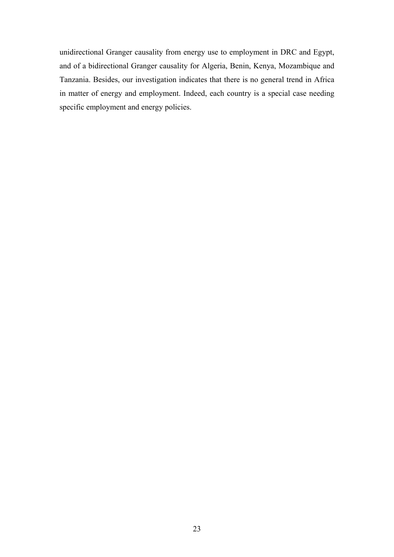unidirectional Granger causality from energy use to employment in DRC and Egypt, and of a bidirectional Granger causality for Algeria, Benin, Kenya, Mozambique and Tanzania. Besides, our investigation indicates that there is no general trend in Africa in matter of energy and employment. Indeed, each country is a special case needing specific employment and energy policies.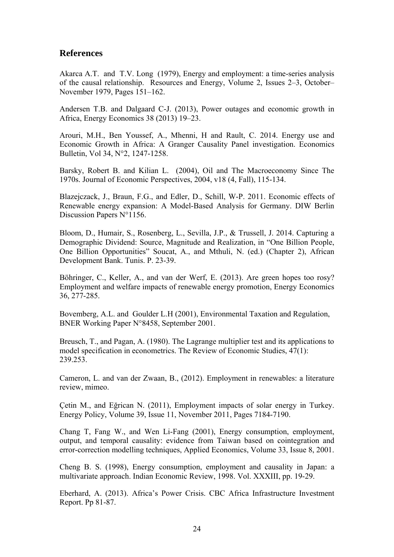### **References**

Akarca A.T. and T.V. Long (1979), Energy and employment: a time-series analysis of the causal relationship. Resources and Energy, Volume 2, Issues 2–3, October– November 1979, Pages 151–162.

Andersen T.B. and Dalgaard C-J. (2013), Power outages and economic growth in Africa, Energy Economics 38 (2013) 19–23.

Arouri, M.H., Ben Youssef, A., Mhenni, H and Rault, C. 2014. Energy use and Economic Growth in Africa: A Granger Causality Panel investigation. Economics Bulletin, Vol 34, N°2, 1247-1258.

Barsky, Robert B. and Kilian L. (2004), Oil and The Macroeconomy Since The 1970s. Journal of Economic Perspectives, 2004, v18 (4, Fall), 115-134.

Blazejczack, J., Braun, F.G., and Edler, D., Schill, W-P. 2011. Economic effects of Renewable energy expansion: A Model-Based Analysis for Germany. DIW Berlin Discussion Papers N°1156.

Bloom, D., Humair, S., Rosenberg, L., Sevilla, J.P., & Trussell, J. 2014. Capturing a Demographic Dividend: Source, Magnitude and Realization, in "One Billion People, One Billion Opportunities" Soucat, A., and Mthuli, N. (ed.) (Chapter 2), African Development Bank. Tunis. P. 23-39.

Böhringer, C., Keller, A., and van der Werf, E. (2013). Are green hopes too rosy? Employment and welfare impacts of renewable energy promotion, Energy Economics 36, 277-285.

Bovemberg, A.L. and Goulder L.H (2001), Environmental Taxation and Regulation, BNER Working Paper N°8458, September 2001.

Breusch, T., and Pagan, A. (1980). The Lagrange multiplier test and its applications to model specification in econometrics. The Review of Economic Studies, 47(1): 239.253.

Cameron, L. and van der Zwaan, B., (2012). Employment in renewables: a literature review, mimeo.

Çetin M., and Eğrican N. (2011), Employment impacts of solar energy in Turkey. Energy Policy, Volume 39, Issue 11, November 2011, Pages 7184-7190.

Chang T, Fang W., and Wen Li-Fang (2001), Energy consumption, employment, output, and temporal causality: evidence from Taiwan based on cointegration and error-correction modelling techniques, Applied Economics, Volume 33, Issue 8, 2001.

Cheng B. S. (1998), Energy consumption, employment and causality in Japan: a multivariate approach. Indian Economic Review, 1998. Vol. XXXIII, pp. 19-29.

Eberhard, A. (2013). Africa's Power Crisis. CBC Africa Infrastructure Investment Report. Pp 81-87.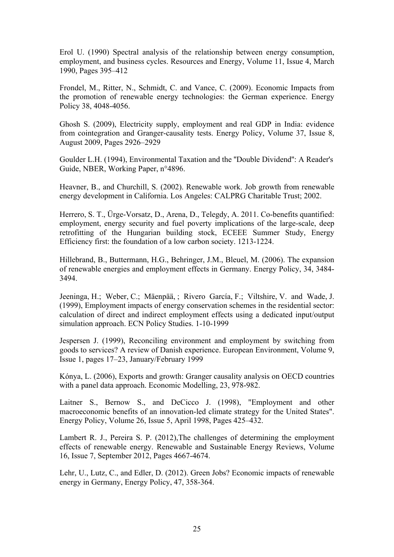Erol U. (1990) Spectral analysis of the relationship between energy consumption, employment, and business cycles. Resources and Energy, Volume 11, Issue 4, March 1990, Pages 395–412

Frondel, M., Ritter, N., Schmidt, C. and Vance, C. (2009). Economic Impacts from the promotion of renewable energy technologies: the German experience. Energy Policy 38, 4048-4056.

Ghosh S. (2009), Electricity supply, employment and real GDP in India: evidence from cointegration and Granger-causality tests. Energy Policy, Volume 37, Issue 8, August 2009, Pages 2926–2929

Goulder L.H. (1994), Environmental Taxation and the ''Double Dividend'': A Reader's Guide, NBER, Working Paper, n°4896.

Heavner, B., and Churchill, S. (2002). Renewable work. Job growth from renewable energy development in California. Los Angeles: CALPRG Charitable Trust; 2002.

Herrero, S. T., Ürge-Vorsatz, D., Arena, D., Telegdy, A. 2011. Co-benefits quantified: employment, energy security and fuel poverty implications of the large-scale, deep retrofitting of the Hungarian building stock, ECEEE Summer Study, Energy Efficiency first: the foundation of a low carbon society. 1213-1224.

Hillebrand, B., Buttermann, H.G., Behringer, J.M., Bleuel, M. (2006). The expansion of renewable energies and employment effects in Germany. Energy Policy, 34, 3484- 3494.

Jeeninga, H.; Weber, C.; Mäenpää, ; Rivero García, F.; Viltshire, V. and Wade, J. (1999), Employment impacts of energy conservation schemes in the residential sector: calculation of direct and indirect employment effects using a dedicated input/output simulation approach. ECN Policy Studies. 1-10-1999

Jespersen J. (1999), Reconciling environment and employment by switching from goods to services? A review of Danish experience. European Environment, Volume 9, Issue 1, pages 17–23, January/February 1999

Kónya, L. (2006), Exports and growth: Granger causality analysis on OECD countries with a panel data approach. Economic Modelling, 23, 978-982.

Laitner S., Bernow S., and DeCicco J. (1998), "Employment and other macroeconomic benefits of an innovation-led climate strategy for the United States". Energy Policy, Volume 26, Issue 5, April 1998, Pages 425–432.

Lambert R. J., Pereira S. P. (2012),The challenges of determining the employment effects of renewable energy. Renewable and Sustainable Energy Reviews, Volume 16, Issue 7, September 2012, Pages 4667-4674.

Lehr, U., Lutz, C., and Edler, D. (2012). Green Jobs? Economic impacts of renewable energy in Germany, Energy Policy, 47, 358-364.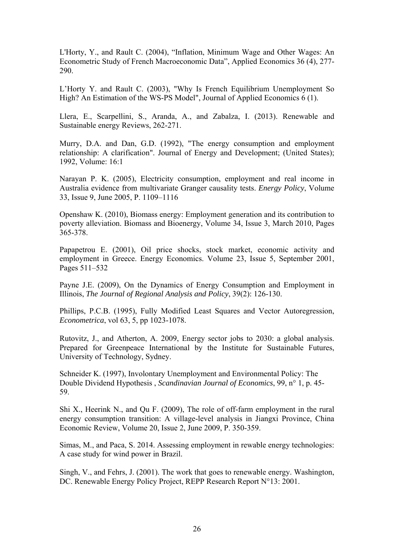L'Horty, Y., and Rault C. (2004), "Inflation, Minimum Wage and Other Wages: An Econometric Study of French Macroeconomic Data", Applied Economics 36 (4), 277- 290.

L'Horty Y. and Rault C. (2003), "Why Is French Equilibrium Unemployment So High? An Estimation of the WS-PS Model", Journal of Applied Economics 6 (1).

Llera, E., Scarpellini, S., Aranda, A., and Zabalza, I. (2013). Renewable and Sustainable energy Reviews, 262-271.

Murry, D.A. and Dan, G.D. (1992), "The energy consumption and employment relationship: A clarification". Journal of Energy and Development; (United States); 1992, Volume: 16:1

Narayan P. K. (2005), Electricity consumption, employment and real income in Australia evidence from multivariate Granger causality tests. *Energy Policy*, Volume 33, Issue 9, June 2005, P. 1109–1116

Openshaw K. (2010), Biomass energy: Employment generation and its contribution to poverty alleviation. Biomass and Bioenergy, Volume 34, Issue 3, March 2010, Pages 365-378.

Papapetrou E. (2001), Oil price shocks, stock market, economic activity and employment in Greece. Energy Economics. Volume 23, Issue 5, September 2001, Pages 511–532

Payne J.E. (2009), On the Dynamics of Energy Consumption and Employment in Illinois, *The Journal of Regional Analysis and Policy*, 39(2): 126-130.

Phillips, P.C.B. (1995), Fully Modified Least Squares and Vector Autoregression, *Econometrica*, vol 63, 5, pp 1023-1078.

Rutovitz, J., and Atherton, A. 2009, Energy sector jobs to 2030: a global analysis. Prepared for Greenpeace International by the Institute for Sustainable Futures, University of Technology, Sydney.

Schneider K. (1997), Involontary Unemployment and Environmental Policy: The Double Dividend Hypothesis , *Scandinavian Journal of Economics*, 99, n° 1, p. 45- 59.

Shi X., Heerink N., and Qu F. (2009), The role of off-farm employment in the rural energy consumption transition: A village-level analysis in Jiangxi Province, China Economic Review, Volume 20, Issue 2, June 2009, P. 350-359.

Simas, M., and Paca, S. 2014. Assessing employment in rewable energy technologies: A case study for wind power in Brazil.

Singh, V., and Fehrs, J. (2001). The work that goes to renewable energy. Washington, DC. Renewable Energy Policy Project, REPP Research Report N°13: 2001.